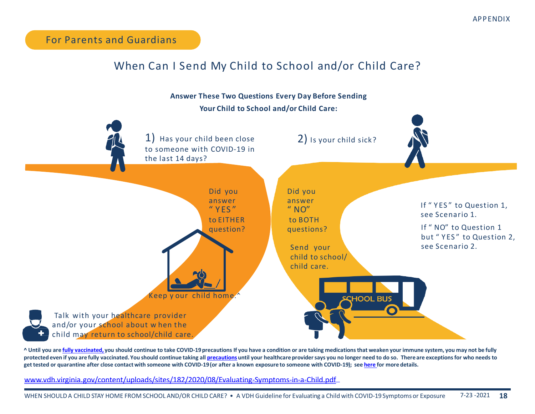For Parents and Guardians

## When Can I Send My Child to School and/or Child Care?



**^ Until you are fully vaccinated, you should continue to take COVID-19precautions If you have a condition or are taking medications that weaken your immune system, you may not be fully protected even if you are fully vaccinated. You should continue taking all precautions until your healthcare provider says you no longer need to do so. There are exceptions for who needs to get tested or quarantine after close contact with someone with COVID-19(or after a known exposure to someone with COVID-19); see here for more details.**

www.vdh.virginia.gov/content/uploads/sites/182/2020/08/Evaluating-Symptoms-in-a-Child.pdf